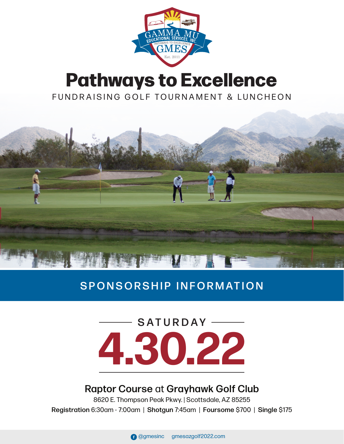

## **Pathways to Excellence** FUNDRAISING GOLF TOURNAMENT & LUNCHEON



### SPONSORSHIP INFORMATION

# **4.30.22** SATURDAY -

#### Raptor Course at Grayhawk Golf Club

8620 E. Thompson Peak Pkwy. | Scottsdale, AZ 85255 Registration 6:30am - 7:00am | Shotgun 7:45am | Foursome \$700 | Single \$175